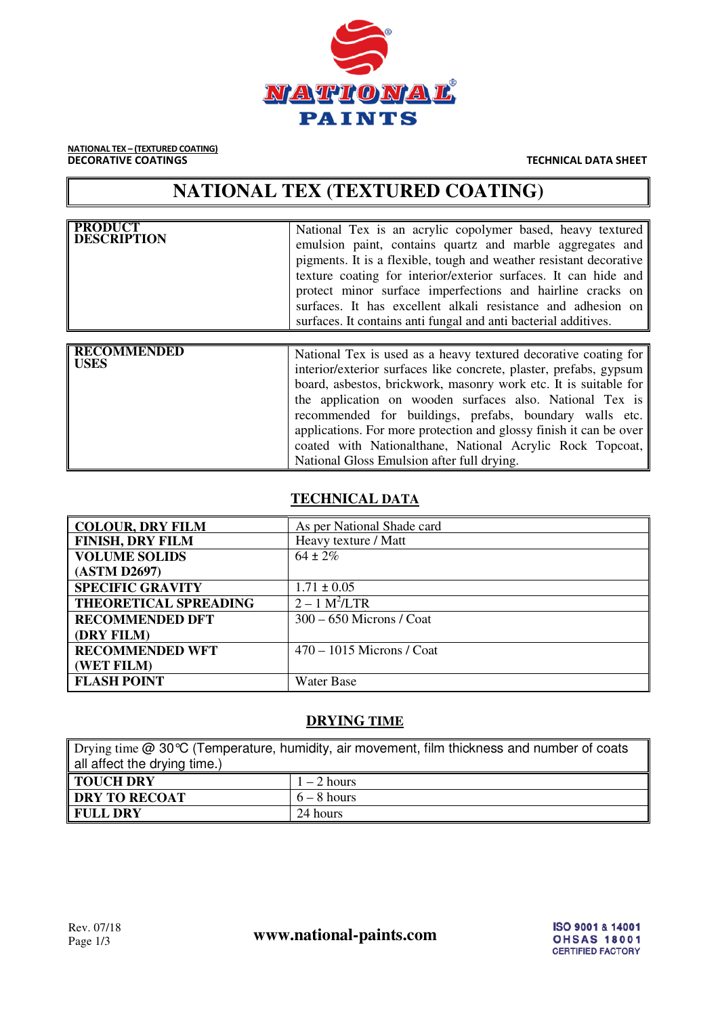

**NATIONAL TEX – (TEXTURED COATING)**<br>**DECORATIVE COATINGS** 

**TECHNICAL DATA SHEET** 

# **NATIONAL TEX (TEXTURED COATING)**

| <b>PRODUCT</b><br><b>DESCRIPTION</b> | National Tex is an acrylic copolymer based, heavy textured<br>emulsion paint, contains quartz and marble aggregates and<br>pigments. It is a flexible, tough and weather resistant decorative<br>texture coating for interior/exterior surfaces. It can hide and<br>protect minor surface imperfections and hairline cracks on<br>surfaces. It has excellent alkali resistance and adhesion on<br>surfaces. It contains anti-fungal and anti-bacterial additives.                                                 |  |
|--------------------------------------|-------------------------------------------------------------------------------------------------------------------------------------------------------------------------------------------------------------------------------------------------------------------------------------------------------------------------------------------------------------------------------------------------------------------------------------------------------------------------------------------------------------------|--|
|                                      |                                                                                                                                                                                                                                                                                                                                                                                                                                                                                                                   |  |
| <b>RECOMMENDED</b><br><b>USES</b>    | National Tex is used as a heavy textured decorative coating for<br>interior/exterior surfaces like concrete, plaster, prefabs, gypsum<br>board, asbestos, brickwork, masonry work etc. It is suitable for<br>the application on wooden surfaces also. National Tex is<br>recommended for buildings, prefabs, boundary walls etc.<br>applications. For more protection and glossy finish it can be over<br>coated with Nationalthane, National Acrylic Rock Topcoat,<br>National Gloss Emulsion after full drying. |  |

## **TECHNICAL DATA**

| <b>COLOUR, DRY FILM</b>      | As per National Shade card  |
|------------------------------|-----------------------------|
| <b>FINISH, DRY FILM</b>      | Heavy texture / Matt        |
| <b>VOLUME SOLIDS</b>         | $64 \pm 2\%$                |
| (ASTM D2697)                 |                             |
| <b>SPECIFIC GRAVITY</b>      | $1.71 \pm 0.05$             |
| <b>THEORETICAL SPREADING</b> | $2 - 1$ M <sup>2</sup> /LTR |
| <b>RECOMMENDED DFT</b>       | $300 - 650$ Microns / Coat  |
| <b>DRY FILM</b>              |                             |
| <b>RECOMMENDED WFT</b>       | $470 - 1015$ Microns / Coat |
| (WET FILM)                   |                             |
| <b>FLASH POINT</b>           | Water Base                  |
|                              |                             |

# **DRYING TIME**

Drying time @ 30℃ (Temperature, humidity, air movement, film thickness and number of coats all affect the drying time.)

| TOUCH DRY       | $-2$ hours    |
|-----------------|---------------|
| DRY TO RECOAT   | $6 - 8$ hours |
| <b>FULL DRY</b> | 24 hours      |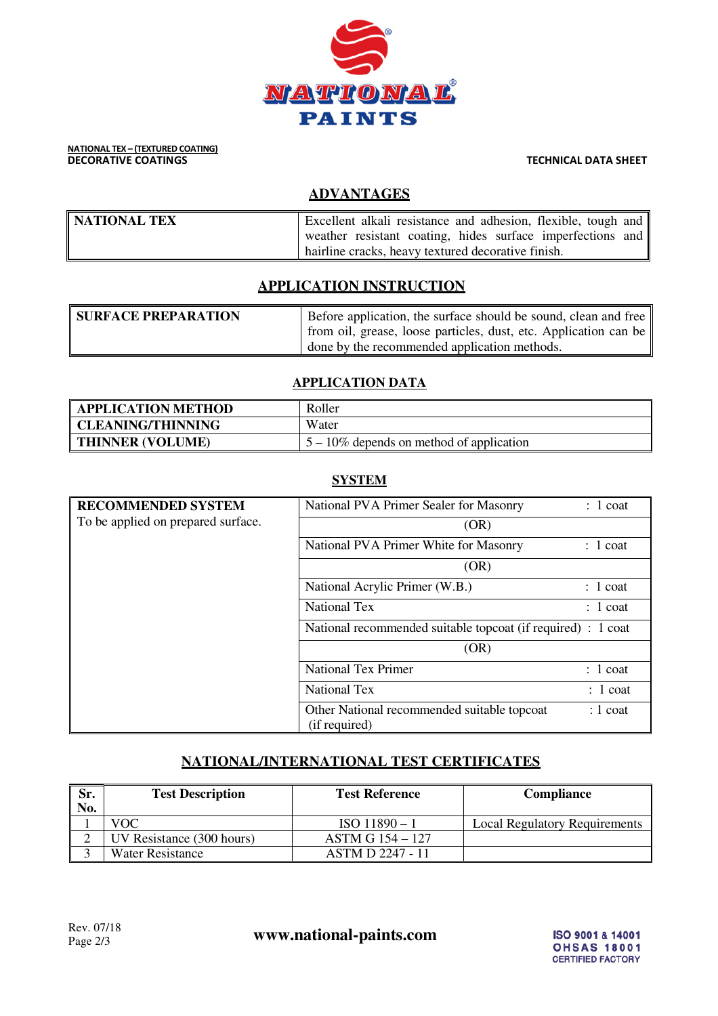

# **NATIONAL TEX – (TEXTURED COATING)**<br>DECORATIVE COATINGS

**TECHNICAL DATA SHEET** 

# **ADVANTAGES**

| NATIONAL TEX | Excellent alkali resistance and adhesion, flexible, tough and |
|--------------|---------------------------------------------------------------|
|              | weather resistant coating, hides surface imperfections and    |
|              | hairline cracks, heavy textured decorative finish.            |

# **APPLICATION INSTRUCTION**

| <b>SURFACE PREPARATION</b> | Before application, the surface should be sound, clean and free  |
|----------------------------|------------------------------------------------------------------|
|                            | from oil, grease, loose particles, dust, etc. Application can be |
|                            | done by the recommended application methods.                     |

#### **APPLICATION DATA**

| <b>APPLICATION METHOD</b> | Roller                                      |
|---------------------------|---------------------------------------------|
| <b>CLEANING/THINNING</b>  | Water                                       |
| THINNER (VOLUME)          | $5 - 10\%$ depends on method of application |

## **SYSTEM**

| <b>RECOMMENDED SYSTEM</b>          | National PVA Primer Sealer for Masonry                       | $: 1$ coat |
|------------------------------------|--------------------------------------------------------------|------------|
| To be applied on prepared surface. | (OR)                                                         |            |
|                                    | National PVA Primer White for Masonry                        | $: 1$ coat |
|                                    | (OR)                                                         |            |
|                                    | National Acrylic Primer (W.B.)                               | $: 1$ coat |
|                                    | <b>National Tex</b>                                          | $: 1$ coat |
|                                    | National recommended suitable topcoat (if required) : 1 coat |            |
|                                    | (OR)                                                         |            |
|                                    | <b>National Tex Primer</b>                                   | $: 1$ coat |
|                                    | <b>National Tex</b>                                          | $: 1$ coat |
|                                    | Other National recommended suitable topcoat<br>(if required) | $: 1$ coat |

# **NATIONAL/INTERNATIONAL TEST CERTIFICATES**

| Sr.<br>No. | <b>Test Description</b>   | <b>Test Reference</b>   | Compliance                    |
|------------|---------------------------|-------------------------|-------------------------------|
|            | VOC                       | $ISO$ 11890 - 1         | Local Regulatory Requirements |
|            | UV Resistance (300 hours) | <b>ASTM G 154 – 127</b> |                               |
|            | Water Resistance          | <b>ASTM D 2247 - 11</b> |                               |